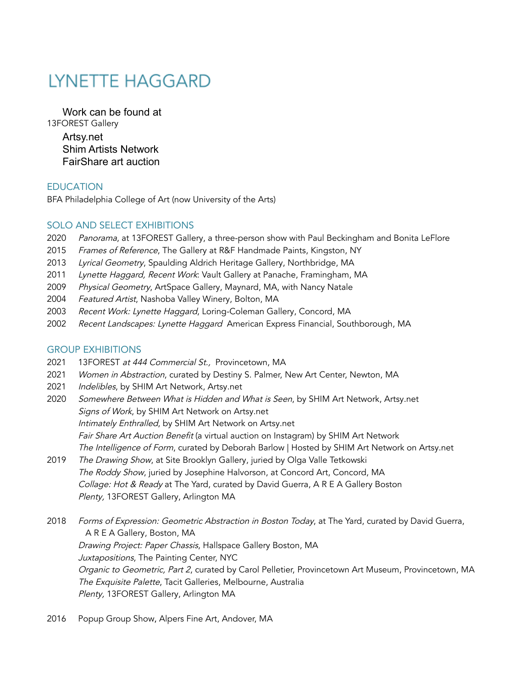# **LYNETTE HAGGARD**

Work can be found at 13FOREST Gallery Artsy.net Shim Artists Network FairShare art auction

# **EDUCATION**

BFA Philadelphia College of Art (now University of the Arts)

# SOLO AND SELECT EXHIBITIONS

- 2020 Panorama, at 13FOREST Gallery, a three-person show with Paul Beckingham and Bonita LeFlore
- 2015 Frames of Reference, The Gallery at R&F Handmade Paints, Kingston, NY
- 2013 Lyrical Geometry, Spaulding Aldrich Heritage Gallery, Northbridge, MA
- 2011 Lynette Haggard, Recent Work: Vault Gallery at Panache, Framingham, MA
- 2009 Physical Geometry, ArtSpace Gallery, Maynard, MA, with Nancy Natale
- 2004 Featured Artist, Nashoba Valley Winery, Bolton, MA
- 2003 Recent Work: Lynette Haggard, Loring-Coleman Gallery, Concord, MA
- 2002 Recent Landscapes: Lynette Haggard American Express Financial, Southborough, MA

## GROUP EXHIBITIONS

- 2021 13FOREST at 444 Commercial St., Provincetown, MA
- 2021 Women in Abstraction, curated by Destiny S. Palmer, New Art Center, Newton, MA
- 2021 Indelibles, by SHIM Art Network, Artsy.net
- 2020 Somewhere Between What is Hidden and What is Seen, by SHIM Art Network, Artsy.net Signs of Work, by SHIM Art Network on Artsy.net Intimately Enthralled, by SHIM Art Network on Artsy.net Fair Share Art Auction Benefit (a virtual auction on Instagram) by SHIM Art Network The Intelligence of Form, curated by Deborah Barlow | Hosted by SHIM Art Network on Artsy.net
- 2019 The Drawing Show, at Site Brooklyn Gallery, juried by Olga Valle Tetkowski The Roddy Show, juried by Josephine Halvorson, at Concord Art, Concord, MA Collage: Hot & Ready at The Yard, curated by David Guerra, A R E A Gallery Boston Plenty, 13FOREST Gallery, Arlington MA
- 2018 Forms of Expression: Geometric Abstraction in Boston Today, at The Yard, curated by David Guerra, A R E A Gallery, Boston, MA Drawing Project: Paper Chassis, Hallspace Gallery Boston, MA Juxtapositions, The Painting Center, NYC Organic to Geometric, Part 2, curated by Carol Pelletier, Provincetown Art Museum, Provincetown, MA The Exquisite Palette, Tacit Galleries, Melbourne, Australia Plenty, 13FOREST Gallery, Arlington MA
- 2016 Popup Group Show, Alpers Fine Art, Andover, MA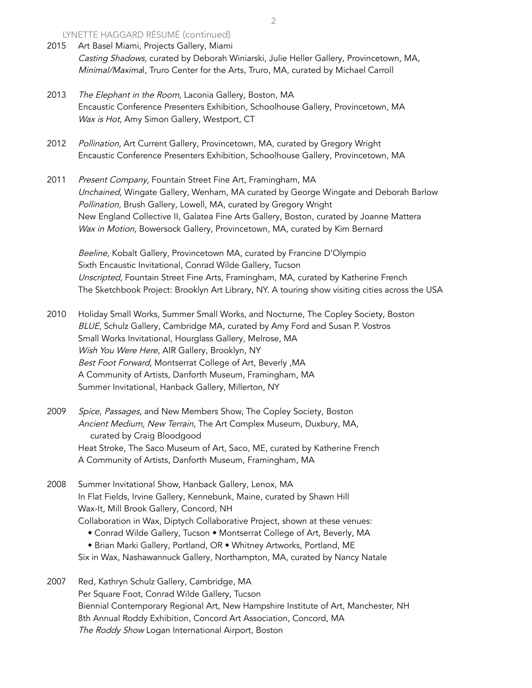LYNETTE HAGGARD RÉSUMÉ (continued)

- 2015 Art Basel Miami, Projects Gallery, Miami Casting Shadows, curated by Deborah Winiarski, Julie Heller Gallery, Provincetown, MA, Minimal/Maximal, Truro Center for the Arts, Truro, MA, curated by Michael Carroll
- 2013 The Elephant in the Room, Laconia Gallery, Boston, MA Encaustic Conference Presenters Exhibition, Schoolhouse Gallery, Provincetown, MA Wax is Hot, Amy Simon Gallery, Westport, CT
- 2012 Pollination, Art Current Gallery, Provincetown, MA, curated by Gregory Wright Encaustic Conference Presenters Exhibition, Schoolhouse Gallery, Provincetown, MA
- 2011 Present Company, Fountain Street Fine Art, Framingham, MA Unchained, Wingate Gallery, Wenham, MA curated by George Wingate and Deborah Barlow Pollination, Brush Gallery, Lowell, MA, curated by Gregory Wright New England Collective II, Galatea Fine Arts Gallery, Boston, curated by Joanne Mattera Wax in Motion, Bowersock Gallery, Provincetown, MA, curated by Kim Bernard

Beeline, Kobalt Gallery, Provincetown MA, curated by Francine D'Olympio Sixth Encaustic Invitational, Conrad Wilde Gallery, Tucson Unscripted, Fountain Street Fine Arts, Framingham, MA, curated by Katherine French The Sketchbook Project: Brooklyn Art Library, NY. A touring show visiting cities across the USA

- 2010 Holiday Small Works, Summer Small Works, and Nocturne, The Copley Society, Boston BLUE, Schulz Gallery, Cambridge MA, curated by Amy Ford and Susan P. Vostros Small Works Invitational, Hourglass Gallery, Melrose, MA Wish You Were Here, AIR Gallery, Brooklyn, NY Best Foot Forward, Montserrat College of Art, Beverly ,MA A Community of Artists, Danforth Museum, Framingham, MA Summer Invitational, Hanback Gallery, Millerton, NY
- 2009 Spice, Passages, and New Members Show, The Copley Society, Boston Ancient Medium, New Terrain, The Art Complex Museum, Duxbury, MA, curated by Craig Bloodgood Heat Stroke, The Saco Museum of Art, Saco, ME, curated by Katherine French A Community of Artists, Danforth Museum, Framingham, MA
- 2008 Summer Invitational Show, Hanback Gallery, Lenox, MA In Flat Fields, Irvine Gallery, Kennebunk, Maine, curated by Shawn Hill Wax-It, Mill Brook Gallery, Concord, NH Collaboration in Wax, Diptych Collaborative Project, shown at these venues: • Conrad Wilde Gallery, Tucson • Montserrat College of Art, Beverly, MA • Brian Marki Gallery, Portland, OR • Whitney Artworks, Portland, ME
	- Six in Wax, Nashawannuck Gallery, Northampton, MA, curated by Nancy Natale
- 2007 Red, Kathryn Schulz Gallery, Cambridge, MA Per Square Foot, Conrad Wilde Gallery, Tucson Biennial Contemporary Regional Art, New Hampshire Institute of Art, Manchester, NH 8th Annual Roddy Exhibition, Concord Art Association, Concord, MA The Roddy Show Logan International Airport, Boston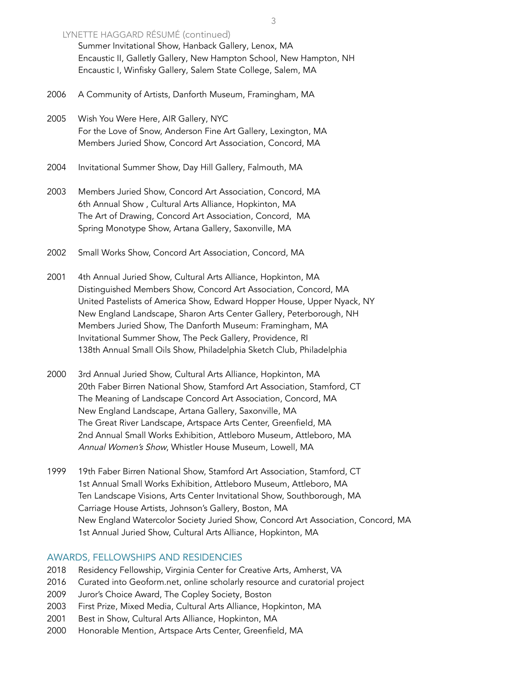## LYNETTE HAGGARD RÉSUMÉ (continued)

Summer Invitational Show, Hanback Gallery, Lenox, MA Encaustic II, Galletly Gallery, New Hampton School, New Hampton, NH Encaustic I, Winfisky Gallery, Salem State College, Salem, MA

2006 A Community of Artists, Danforth Museum, Framingham, MA

2005 Wish You Were Here, AIR Gallery, NYC For the Love of Snow, Anderson Fine Art Gallery, Lexington, MA Members Juried Show, Concord Art Association, Concord, MA

2004 Invitational Summer Show, Day Hill Gallery, Falmouth, MA

- 2003 Members Juried Show, Concord Art Association, Concord, MA 6th Annual Show , Cultural Arts Alliance, Hopkinton, MA The Art of Drawing, Concord Art Association, Concord, MA Spring Monotype Show, Artana Gallery, Saxonville, MA
- 2002 Small Works Show, Concord Art Association, Concord, MA
- 2001 4th Annual Juried Show, Cultural Arts Alliance, Hopkinton, MA Distinguished Members Show, Concord Art Association, Concord, MA United Pastelists of America Show, Edward Hopper House, Upper Nyack, NY New England Landscape, Sharon Arts Center Gallery, Peterborough, NH Members Juried Show, The Danforth Museum: Framingham, MA Invitational Summer Show, The Peck Gallery, Providence, RI 138th Annual Small Oils Show, Philadelphia Sketch Club, Philadelphia
- 2000 3rd Annual Juried Show, Cultural Arts Alliance, Hopkinton, MA 20th Faber Birren National Show, Stamford Art Association, Stamford, CT The Meaning of Landscape Concord Art Association, Concord, MA New England Landscape, Artana Gallery, Saxonville, MA The Great River Landscape, Artspace Arts Center, Greenfield, MA 2nd Annual Small Works Exhibition, Attleboro Museum, Attleboro, MA Annual Women's Show, Whistler House Museum, Lowell, MA
- 1999 19th Faber Birren National Show, Stamford Art Association, Stamford, CT 1st Annual Small Works Exhibition, Attleboro Museum, Attleboro, MA Ten Landscape Visions, Arts Center Invitational Show, Southborough, MA Carriage House Artists, Johnson's Gallery, Boston, MA New England Watercolor Society Juried Show, Concord Art Association, Concord, MA 1st Annual Juried Show, Cultural Arts Alliance, Hopkinton, MA

## AWARDS, FELLOWSHIPS AND RESIDENCIES

- 2018 Residency Fellowship, Virginia Center for Creative Arts, Amherst, VA
- 2016 Curated into Geoform.net, online scholarly resource and curatorial project
- 2009 Juror's Choice Award, The Copley Society, Boston
- 2003 First Prize, Mixed Media, Cultural Arts Alliance, Hopkinton, MA
- 2001 Best in Show, Cultural Arts Alliance, Hopkinton, MA
- 2000 Honorable Mention, Artspace Arts Center, Greenfield, MA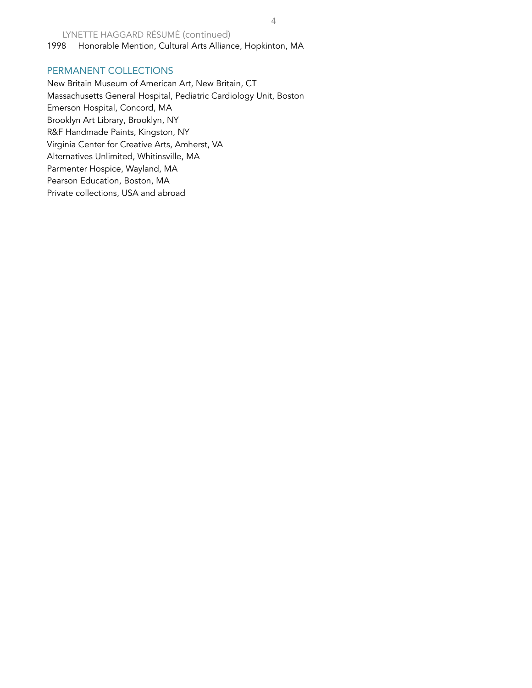LYNETTE HAGGARD RÉSUMÉ (continued) 1998 Honorable Mention, Cultural Arts Alliance, Hopkinton, MA

#### PERMANENT COLLECTIONS

New Britain Museum of American Art, New Britain, CT Massachusetts General Hospital, Pediatric Cardiology Unit, Boston Emerson Hospital, Concord, MA Brooklyn Art Library, Brooklyn, NY R&F Handmade Paints, Kingston, NY Virginia Center for Creative Arts, Amherst, VA Alternatives Unlimited, Whitinsville, MA Parmenter Hospice, Wayland, MA Pearson Education, Boston, MA Private collections, USA and abroad